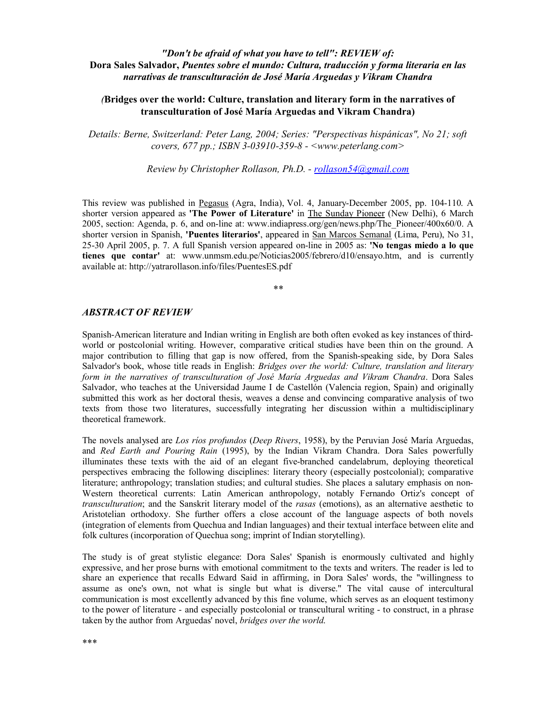# *"Don't be afraid of what you have to tell": REVIEW of:* **Dora Sales Salvador,** *Puentes sobre el mundo: Cultura, traducción y forma literaria en las narrativas de transculturación de José María Arguedas y Vikram Chandra*

## *(***Bridges over the world: Culture, translation and literary form in the narratives of transculturation of José María Arguedas and Vikram Chandra)**

*Details: Berne, Switzerland: Peter Lang, 2004; Series[: "Perspectivas hispánicas](mailto:rollason54@gmail.com)", No 21; soft covers, 677 pp.; ISBN 3-03910-359-8 - <www.peterlang.com>*

*Review by Christopher Rollason, Ph.D. - rollason54@gmail.com*

This review was published in Pegasus (Agra, India), Vol. 4, January-December 2005, pp. 104-110. A shorter version appeared as **'The Power of Literature'** in The Sunday Pioneer (New Delhi), 6 March 2005, section: Agenda, p. 6, and on-line at: www.indiapress.org/gen/news.php/The\_Pioneer/400x60/0. A shorter version in Spanish, **'Puentes literarios'**, appeared in San Marcos Semanal (Lima, Peru), No 31, 25-30 April 2005, p. 7. A full Spanish version appeared on-line in 2005 as: **'No tengas miedo a lo que tienes que contar'** at: www.unmsm.edu.pe/Noticias2005/febrero/d10/ensayo.htm, and is currently available at: http://yatrarollason.info/files/PuentesES.pdf

*\*\**

#### *ABSTRACT OF REVIEW*

Spanish-American literature and Indian writing in English are both often evoked as key instances of thirdworld or postcolonial writing. However, comparative critical studies have been thin on the ground. A major contribution to filling that gap is now offered, from the Spanish-speaking side, by Dora Sales Salvador's book, whose title reads in English: *Bridges over the world: Culture, translation and literary form in the narratives of transculturation of José María Arguedas and Vikram Chandra*. Dora Sales Salvador, who teaches at the Universidad Jaume I de Castellón (Valencia region, Spain) and originally submitted this work as her doctoral thesis, weaves a dense and convincing comparative analysis of two texts from those two literatures, successfully integrating her discussion within a multidisciplinary theoretical framework.

The novels analysed are *Los ríos profundos* (*Deep Rivers*, 1958), by the Peruvian José María Arguedas, and *Red Earth and Pouring Rain* (1995), by the Indian Vikram Chandra. Dora Sales powerfully illuminates these texts with the aid of an elegant five-branched candelabrum, deploying theoretical perspectives embracing the following disciplines: literary theory (especially postcolonial); comparative literature; anthropology; translation studies; and cultural studies. She places a salutary emphasis on non-Western theoretical currents: Latin American anthropology, notably Fernando Ortiz's concept of *transculturation*; and the Sanskrit literary model of the *rasas* (emotions), as an alternative aesthetic to Aristotelian orthodoxy. She further offers a close account of the language aspects of both novels (integration of elements from Quechua and Indian languages) and their textual interface between elite and folk cultures (incorporation of Quechua song; imprint of Indian storytelling).

The study is of great stylistic elegance: Dora Sales' Spanish is enormously cultivated and highly expressive, and her prose burns with emotional commitment to the texts and writers. The reader is led to share an experience that recalls Edward Said in affirming, in Dora Sales' words, the "willingness to assume as one's own, not what is single but what is diverse." The vital cause of intercultural communication is most excellently advanced by this fine volume, which serves as an eloquent testimony to the power of literature - and especially postcolonial or transcultural writing - to construct, in a phrase taken by the author from Arguedas' novel, *bridges over the world*.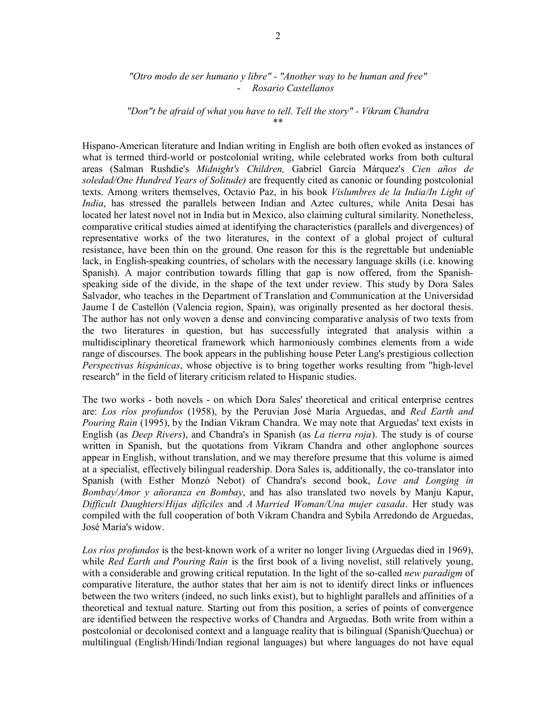### *"Otro modo de ser humano y libre" - "Another way to be human and free"* - *Rosario Castellanos*

## *"Don"t be afraid of what you have to tell. Tell the story" - Vikram Chandra* \*\*

Hispano-American literature and Indian writing in English are both often evoked as instances of what is termed third-world or postcolonial writing, while celebrated works from both cultural areas (Salman Rushdie's *Midnight's Children,* Gabriel García Márquez's *Cien años de soledad/One Hundred Years of Solitude)* are frequently cited as canonic or founding postcolonial texts. Among writers themselves, Octavio Paz, in his book *Vislumbres de la India/In Light of India*, has stressed the parallels between Indian and Aztec cultures, while Anita Desai has located her latest novel not in India but in Mexico, also claiming cultural similarity. Nonetheless, comparative critical studies aimed at identifying the characteristics (parallels and divergences) of representative works of the two literatures, in the context of a global project of cultural resistance, have been thin on the ground. One reason for this is the regrettable but undeniable lack, in English-speaking countries, of scholars with the necessary language skills (i.e. knowing Spanish). A major contribution towards filling that gap is now offered, from the Spanishspeaking side of the divide, in the shape of the text under review. This study by Dora Sales Salvador, who teaches in the Department of Translation and Communication at the Universidad Jaume I de Castellón (Valencia region, Spain), was originally presented as her doctoral thesis. The author has not only woven a dense and convincing comparative analysis of two texts from the two literatures in question, but has successfully integrated that analysis within a multidisciplinary theoretical framework which harmoniously combines elements from a wide range of discourses. The book appears in the publishing house Peter Lang's prestigious collection *Perspectivas hispánicas*, whose objective is to bring together works resulting from "high-level research" in the field of literary criticism related to Hispanic studies.

The two works - both novels - on which Dora Sales' theoretical and critical enterprise centres are: *Los ríos profundos* (1958), by the Peruvian José María Arguedas, and *Red Earth and Pouring Rain* (1995), by the Indian Vikram Chandra. We may note that Arguedas' text exists in English (as *Deep Rivers*), and Chandra's in Spanish (as *La tierra roja*). The study is of course written in Spanish, but the quotations from Vikram Chandra and other anglophone sources appear in English, without translation, and we may therefore presume that this volume is aimed at a specialist, effectively bilingual readership. Dora Sales is, additionally, the co-translator into Spanish (with Esther Monzó Nebot) of Chandra's second book, *Love and Longing in Bombay*/*Amor y añoranza en Bombay*, and has also translated two novels by Manju Kapur, *Difficult Daughters*/*Hijas difíciles* and *A Married Woman/Una mujer casada*. Her study was compiled with the full cooperation of both Vikram Chandra and Sybila Arredondo de Arguedas, José María's widow.

*Los ríos profundos* is the best-known work of a writer no longer living (Arguedas died in 1969), while *Red Earth and Pouring Rain* is the first book of a living novelist, still relatively young, with a considerable and growing critical reputation. In the light of the so-called *new paradigm* of comparative literature, the author states that her aim is not to identify direct links or influences between the two writers (indeed, no such links exist), but to highlight parallels and affinities of a theoretical and textual nature. Starting out from this position, a series of points of convergence are identified between the respective works of Chandra and Arguedas. Both write from within a postcolonial or decolonised context and a language reality that is bilingual (Spanish/Quechua) or multilingual (English/Hindi/Indian regional languages) but where languages do not have equal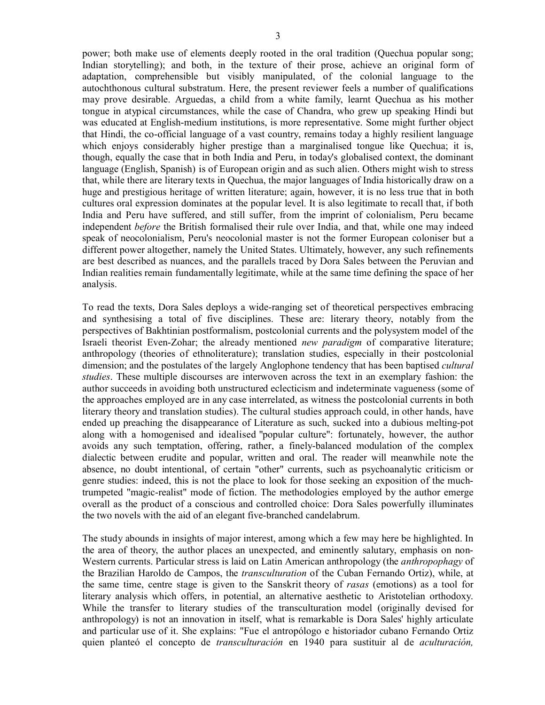power; both make use of elements deeply rooted in the oral tradition (Quechua popular song; Indian storytelling); and both, in the texture of their prose, achieve an original form of adaptation, comprehensible but visibly manipulated, of the colonial language to the autochthonous cultural substratum. Here, the present reviewer feels a number of qualifications may prove desirable. Arguedas, a child from a white family, learnt Quechua as his mother tongue in atypical circumstances, while the case of Chandra, who grew up speaking Hindi but was educated at English-medium institutions, is more representative. Some might further object that Hindi, the co-official language of a vast country, remains today a highly resilient language which enjoys considerably higher prestige than a marginalised tongue like Quechua; it is, though, equally the case that in both India and Peru, in today's globalised context, the dominant language (English, Spanish) is of European origin and as such alien. Others might wish to stress that, while there are literary texts in Quechua, the major languages of India historically draw on a huge and prestigious heritage of written literature; again, however, it is no less true that in both cultures oral expression dominates at the popular level. It is also legitimate to recall that, if both India and Peru have suffered, and still suffer, from the imprint of colonialism, Peru became independent *before* the British formalised their rule over India, and that, while one may indeed speak of neocolonialism, Peru's neocolonial master is not the former European coloniser but a different power altogether, namely the United States. Ultimately, however, any such refinements are best described as nuances, and the parallels traced by Dora Sales between the Peruvian and Indian realities remain fundamentally legitimate, while at the same time defining the space of her analysis.

To read the texts, Dora Sales deploys a wide-ranging set of theoretical perspectives embracing and synthesising a total of five disciplines. These are: literary theory, notably from the perspectives of Bakhtinian postformalism, postcolonial currents and the polysystem model of the Israeli theorist Even-Zohar; the already mentioned *new paradigm* of comparative literature; anthropology (theories of ethnoliterature); translation studies, especially in their postcolonial dimension; and the postulates of the largely Anglophone tendency that has been baptised *cultural studies*. These multiple discourses are interwoven across the text in an exemplary fashion: the author succeeds in avoiding both unstructured eclecticism and indeterminate vagueness (some of the approaches employed are in any case interrelated, as witness the postcolonial currents in both literary theory and translation studies). The cultural studies approach could, in other hands, have ended up preaching the disappearance of Literature as such, sucked into a dubious melting-pot along with a homogenised and idealised "popular culture": fortunately, however, the author avoids any such temptation, offering, rather, a finely-balanced modulation of the complex dialectic between erudite and popular, written and oral. The reader will meanwhile note the absence, no doubt intentional, of certain "other" currents, such as psychoanalytic criticism or genre studies: indeed, this is not the place to look for those seeking an exposition of the muchtrumpeted "magic-realist" mode of fiction. The methodologies employed by the author emerge overall as the product of a conscious and controlled choice: Dora Sales powerfully illuminates the two novels with the aid of an elegant five-branched candelabrum.

The study abounds in insights of major interest, among which a few may here be highlighted. In the area of theory, the author places an unexpected, and eminently salutary, emphasis on non-Western currents. Particular stress is laid on Latin American anthropology (the *anthropophagy* of the Brazilian Haroldo de Campos, the *transculturation* of the Cuban Fernando Ortiz), while, at the same time, centre stage is given to the Sanskrit theory of *rasas* (emotions) as a tool for literary analysis which offers, in potential, an alternative aesthetic to Aristotelian orthodoxy. While the transfer to literary studies of the transculturation model (originally devised for anthropology) is not an innovation in itself, what is remarkable is Dora Sales' highly articulate and particular use of it. She explains: "Fue el antropólogo e historiador cubano Fernando Ortiz quien planteó el concepto de *transculturación* en 1940 para sustituir al de *aculturación,*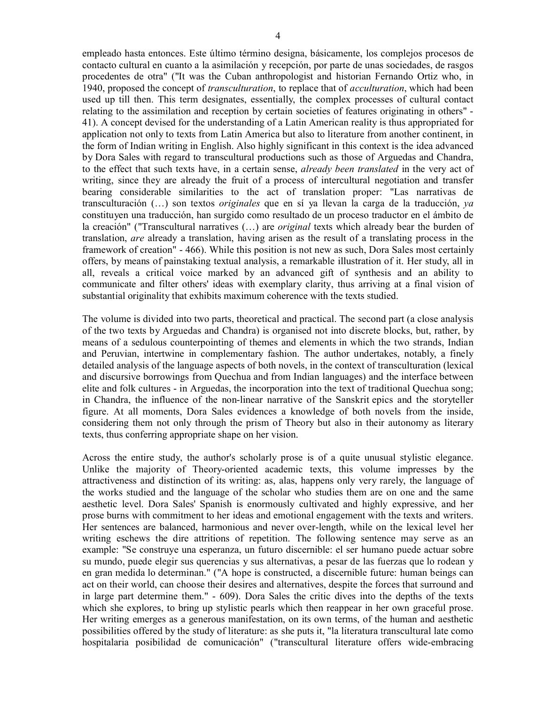empleado hasta entonces. Este último término designa, básicamente, los complejos procesos de contacto cultural en cuanto a la asimilación y recepción, por parte de unas sociedades, de rasgos procedentes de otra" ("It was the Cuban anthropologist and historian Fernando Ortiz who, in 1940, proposed the concept of *transculturation*, to replace that of *acculturation*, which had been used up till then. This term designates, essentially, the complex processes of cultural contact relating to the assimilation and reception by certain societies of features originating in others" - 41). A concept devised for the understanding of a Latin American reality is thus appropriated for application not only to texts from Latin America but also to literature from another continent, in the form of Indian writing in English. Also highly significant in this context is the idea advanced by Dora Sales with regard to transcultural productions such as those of Arguedas and Chandra, to the effect that such texts have, in a certain sense, *already been translated* in the very act of writing, since they are already the fruit of a process of intercultural negotiation and transfer bearing considerable similarities to the act of translation proper: "Las narrativas de transculturación (…) son textos *originales* que en sí ya llevan la carga de la traducción, *ya* constituyen una traducción, han surgido como resultado de un proceso traductor en el ámbito de la creación" ("Transcultural narratives (…) are *original* texts which already bear the burden of translation, *are* already a translation, having arisen as the result of a translating process in the framework of creation" - 466). While this position is not new as such, Dora Sales most certainly offers, by means of painstaking textual analysis, a remarkable illustration of it. Her study, all in all, reveals a critical voice marked by an advanced gift of synthesis and an ability to communicate and filter others' ideas with exemplary clarity, thus arriving at a final vision of substantial originality that exhibits maximum coherence with the texts studied.

The volume is divided into two parts, theoretical and practical. The second part (a close analysis of the two texts by Arguedas and Chandra) is organised not into discrete blocks, but, rather, by means of a sedulous counterpointing of themes and elements in which the two strands, Indian and Peruvian, intertwine in complementary fashion. The author undertakes, notably, a finely detailed analysis of the language aspects of both novels, in the context of transculturation (lexical and discursive borrowings from Quechua and from Indian languages) and the interface between elite and folk cultures - in Arguedas, the incorporation into the text of traditional Quechua song; in Chandra, the influence of the non-linear narrative of the Sanskrit epics and the storyteller figure. At all moments, Dora Sales evidences a knowledge of both novels from the inside, considering them not only through the prism of Theory but also in their autonomy as literary texts, thus conferring appropriate shape on her vision.

Across the entire study, the author's scholarly prose is of a quite unusual stylistic elegance. Unlike the majority of Theory-oriented academic texts, this volume impresses by the attractiveness and distinction of its writing: as, alas, happens only very rarely, the language of the works studied and the language of the scholar who studies them are on one and the same aesthetic level. Dora Sales' Spanish is enormously cultivated and highly expressive, and her prose burns with commitment to her ideas and emotional engagement with the texts and writers. Her sentences are balanced, harmonious and never over-length, while on the lexical level her writing eschews the dire attritions of repetition. The following sentence may serve as an example: "Se construye una esperanza, un futuro discernible: el ser humano puede actuar sobre su mundo, puede elegir sus querencias y sus alternativas, a pesar de las fuerzas que lo rodean y en gran medida lo determinan." ("A hope is constructed, a discernible future: human beings can act on their world, can choose their desires and alternatives, despite the forces that surround and in large part determine them." - 609). Dora Sales the critic dives into the depths of the texts which she explores, to bring up stylistic pearls which then reappear in her own graceful prose. Her writing emerges as a generous manifestation, on its own terms, of the human and aesthetic possibilities offered by the study of literature: as she puts it, "la literatura transcultural late como hospitalaria posibilidad de comunicación" ("transcultural literature offers wide-embracing